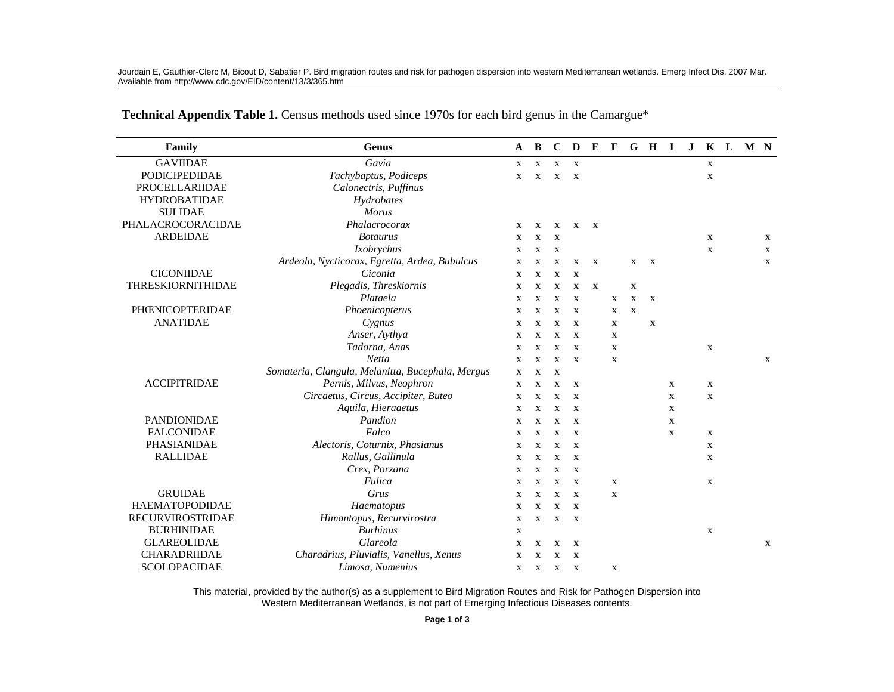Jourdain E, Gauthier-Clerc M, Bicout D, Sabatier P. Bird migration routes and risk for pathogen dispersion into western Mediterranean wetlands. Emerg Infect Dis. 2007 Mar. Available from http://www.cdc.gov/EID/content/13/3/365.htm

| Family                  | Genus                                             | A           | B            | $\mathbf C$  | D            | E            | $\mathbf{F}$ |              | G H I        |             | $\bf J$ |              | K L M N |             |
|-------------------------|---------------------------------------------------|-------------|--------------|--------------|--------------|--------------|--------------|--------------|--------------|-------------|---------|--------------|---------|-------------|
| <b>GAVIIDAE</b>         | Gavia                                             | X           | $\mathbf{X}$ | $\mathbf{x}$ | $\mathbf{X}$ |              |              |              |              |             |         | $\mathbf{X}$ |         |             |
| <b>PODICIPEDIDAE</b>    | Tachybaptus, Podiceps                             | X           | $\mathbf x$  | X            | $\mathbf{X}$ |              |              |              |              |             |         | X            |         |             |
| <b>PROCELLARIIDAE</b>   | Calonectris, Puffinus                             |             |              |              |              |              |              |              |              |             |         |              |         |             |
| <b>HYDROBATIDAE</b>     | Hydrobates                                        |             |              |              |              |              |              |              |              |             |         |              |         |             |
| <b>SULIDAE</b>          | <b>Morus</b>                                      |             |              |              |              |              |              |              |              |             |         |              |         |             |
| PHALACROCORACIDAE       | Phalacrocorax                                     | X           | X            | $\mathbf{x}$ | X            | $\mathbf{x}$ |              |              |              |             |         |              |         |             |
| <b>ARDEIDAE</b>         | <b>Botaurus</b>                                   | X           | $\mathbf x$  | X            |              |              |              |              |              |             |         | $\mathbf{x}$ |         | X           |
|                         | Ixobrychus                                        | X           | $\mathbf{x}$ | $\mathbf{x}$ |              |              |              |              |              |             |         | $\mathbf x$  |         | $\mathbf x$ |
|                         | Ardeola, Nycticorax, Egretta, Ardea, Bubulcus     | $\mathbf X$ | $\mathbf{x}$ | X            | X            | $\mathbf x$  |              | $\mathbf{X}$ | $\mathbf{X}$ |             |         |              |         | X           |
| <b>CICONIIDAE</b>       | Ciconia                                           | X           | $\mathbf X$  | X            | $\mathbf X$  |              |              |              |              |             |         |              |         |             |
| THRESKIORNITHIDAE       | Plegadis, Threskiornis                            | $\mathbf X$ | $\mathbf x$  | $\mathbf X$  | $\mathbf X$  | $\mathbf x$  |              | $\mathbf X$  |              |             |         |              |         |             |
|                         | Plataela                                          | $\mathbf X$ | X            | X            | $\mathbf{x}$ |              | $\mathbf x$  | X            | X            |             |         |              |         |             |
| PHŒNICOPTERIDAE         | Phoenicopterus                                    | $\mathbf X$ | $\mathbf X$  | X            | X            |              | X            | $\mathbf X$  |              |             |         |              |         |             |
| <b>ANATIDAE</b>         | Cygnus                                            | $\mathbf X$ | $\mathbf x$  | X            | X            |              | $\mathbf X$  |              | $\mathbf X$  |             |         |              |         |             |
|                         | Anser, Aythya                                     | X           | X            | X            | X            |              | X            |              |              |             |         |              |         |             |
|                         | Tadorna, Anas                                     | X           | $\mathbf{x}$ | X            | $\mathbf x$  |              | $\mathbf X$  |              |              |             |         | $\mathbf X$  |         |             |
|                         | Netta                                             | X           | $\mathbf{x}$ | $\mathbf x$  | $\mathbf{X}$ |              | $\mathbf X$  |              |              |             |         |              |         | X           |
|                         | Somateria, Clangula, Melanitta, Bucephala, Mergus | X           | $\mathbf{x}$ | $\mathbf{x}$ |              |              |              |              |              |             |         |              |         |             |
| <b>ACCIPITRIDAE</b>     | Pernis, Milvus, Neophron                          | X           | X            | X            | $\mathbf{x}$ |              |              |              |              | X           |         | X            |         |             |
|                         | Circaetus, Circus, Accipiter, Buteo               | X           | $\mathbf{x}$ | $\mathbf X$  | X            |              |              |              |              | $\mathbf X$ |         | $\mathbf X$  |         |             |
|                         | Aquila, Hieraaetus                                | X           | X            | X            | X            |              |              |              |              | X           |         |              |         |             |
| <b>PANDIONIDAE</b>      | Pandion                                           | X           | $\mathbf X$  | X            | $\mathbf X$  |              |              |              |              | $\mathbf X$ |         |              |         |             |
| <b>FALCONIDAE</b>       | Falco                                             | X           | X            | X            | X            |              |              |              |              | X           |         | X            |         |             |
| PHASIANIDAE             | Alectoris, Coturnix, Phasianus                    | $\mathbf X$ | $\mathbf{x}$ | X            | X            |              |              |              |              |             |         | $\mathbf X$  |         |             |
| <b>RALLIDAE</b>         | Rallus, Gallinula                                 | X           | X            | $\mathbf X$  | X            |              |              |              |              |             |         | X            |         |             |
|                         | Crex, Porzana                                     | $\mathbf X$ | $\mathbf x$  | X            | X            |              |              |              |              |             |         |              |         |             |
|                         | Fulica                                            | X           | $\mathbf{x}$ | $\mathbf x$  | $\mathbf{x}$ |              | X            |              |              |             |         | $\mathbf{X}$ |         |             |
| <b>GRUIDAE</b>          | Grus                                              | X           | $\mathbf x$  | $\mathbf x$  | $\mathbf{X}$ |              | $\mathbf X$  |              |              |             |         |              |         |             |
| <b>HAEMATOPODIDAE</b>   | Haematopus                                        | $\mathbf X$ | $\mathbf{x}$ | $\mathbf{x}$ | $\mathbf{x}$ |              |              |              |              |             |         |              |         |             |
| <b>RECURVIROSTRIDAE</b> | Himantopus, Recurvirostra                         | X           | X            | X            | $\mathbf{X}$ |              |              |              |              |             |         |              |         |             |
| <b>BURHINIDAE</b>       | <b>Burhinus</b>                                   | X           |              |              |              |              |              |              |              |             |         | $\mathbf X$  |         |             |
| <b>GLAREOLIDAE</b>      | Glareola                                          | $\mathbf X$ | X            | $\mathbf X$  | $\mathbf x$  |              |              |              |              |             |         |              |         | X           |
| CHARADRIIDAE            | Charadrius, Pluvialis, Vanellus, Xenus            | X           | $\mathbf{x}$ | X            | X            |              |              |              |              |             |         |              |         |             |
| SCOLOPACIDAE            | Limosa, Numenius                                  | X           |              | X X          | $\mathbf{X}$ |              | X            |              |              |             |         |              |         |             |

Technical Appendix Table 1. Census methods used since 1970s for each bird genus in the Camargue\*

This material, provided by the author(s) as a supplement to Bird Migration Routes and Risk for Pathogen Dispersion into Western Mediterranean Wetlands, is not part of Emerging Infectious Diseases contents.

Page 1 of 3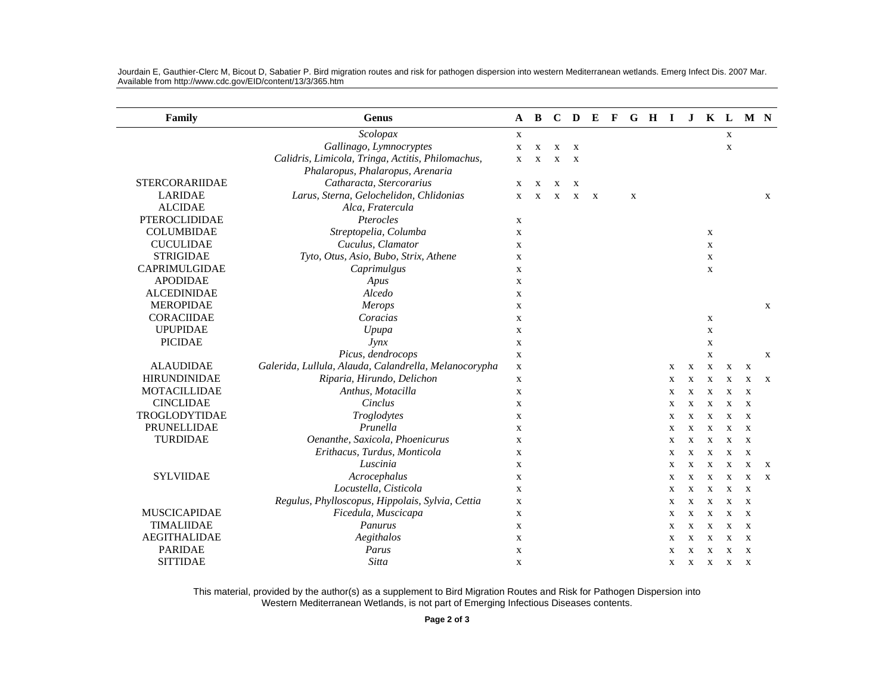| Family                | <b>Genus</b>                                          | A           | B            | $\mathbf C$  | $\mathbf{D}$ | E            | $\mathbf{F}$ |             | G H I |             | $\bf J$      |             | $K$ L       | M N          |              |
|-----------------------|-------------------------------------------------------|-------------|--------------|--------------|--------------|--------------|--------------|-------------|-------|-------------|--------------|-------------|-------------|--------------|--------------|
|                       | Scolopax                                              | $\mathbf X$ |              |              |              |              |              |             |       |             |              |             | $\mathbf X$ |              |              |
|                       | Gallinago, Lymnocryptes                               | $\mathbf X$ | $\mathbf X$  | $\mathbf X$  | X            |              |              |             |       |             |              |             | $\mathbf X$ |              |              |
|                       | Calidris, Limicola, Tringa, Actitis, Philomachus,     | X           | X            | X            | $\mathbf{x}$ |              |              |             |       |             |              |             |             |              |              |
|                       | Phalaropus, Phalaropus, Arenaria                      |             |              |              |              |              |              |             |       |             |              |             |             |              |              |
| <b>STERCORARIIDAE</b> | Catharacta, Stercorarius                              | X           | X            | $\mathbf X$  | X            |              |              |             |       |             |              |             |             |              |              |
| <b>LARIDAE</b>        | Larus, Sterna, Gelochelidon, Chlidonias               | $\mathbf x$ | $\mathbf{x}$ | $\mathbf{x}$ | $\mathbf{X}$ | $\mathbf{X}$ |              | $\mathbf X$ |       |             |              |             |             |              | $\mathbf x$  |
| <b>ALCIDAE</b>        | Alca, Fratercula                                      |             |              |              |              |              |              |             |       |             |              |             |             |              |              |
| PTEROCLIDIDAE         | Pterocles                                             | $\mathbf x$ |              |              |              |              |              |             |       |             |              |             |             |              |              |
| <b>COLUMBIDAE</b>     | Streptopelia, Columba                                 | $\mathbf X$ |              |              |              |              |              |             |       |             |              | $\mathbf X$ |             |              |              |
| <b>CUCULIDAE</b>      | Cuculus, Clamator                                     | $\mathbf X$ |              |              |              |              |              |             |       |             |              | $\mathbf X$ |             |              |              |
| <b>STRIGIDAE</b>      | Tyto, Otus, Asio, Bubo, Strix, Athene                 | $\mathbf X$ |              |              |              |              |              |             |       |             |              | X           |             |              |              |
| CAPRIMULGIDAE         | Caprimulgus                                           | $\mathbf X$ |              |              |              |              |              |             |       |             |              | $\mathbf X$ |             |              |              |
| <b>APODIDAE</b>       | Apus                                                  | $\mathbf X$ |              |              |              |              |              |             |       |             |              |             |             |              |              |
| <b>ALCEDINIDAE</b>    | Alcedo                                                | X           |              |              |              |              |              |             |       |             |              |             |             |              |              |
| <b>MEROPIDAE</b>      | Merops                                                | X           |              |              |              |              |              |             |       |             |              |             |             |              | X            |
| <b>CORACIIDAE</b>     | Coracias                                              | $\mathbf X$ |              |              |              |              |              |             |       |             |              | $\mathbf X$ |             |              |              |
| <b>UPUPIDAE</b>       | Upupa                                                 | $\mathbf X$ |              |              |              |              |              |             |       |             |              | X           |             |              |              |
| <b>PICIDAE</b>        | J <sub>Y</sub>                                        | X           |              |              |              |              |              |             |       |             |              | X           |             |              |              |
|                       | Picus, dendrocops                                     | X           |              |              |              |              |              |             |       |             |              | $\mathbf X$ |             |              | X            |
| <b>ALAUDIDAE</b>      | Galerida, Lullula, Alauda, Calandrella, Melanocorypha | $\mathbf X$ |              |              |              |              |              |             |       | X           | $\mathbf X$  | $\mathbf X$ | X           | X            |              |
| <b>HIRUNDINIDAE</b>   | Riparia, Hirundo, Delichon                            | $\mathbf X$ |              |              |              |              |              |             |       | X           | $\mathbf X$  | $\mathbf X$ | $\mathbf X$ | $\mathbf X$  | $\mathbf{x}$ |
| <b>MOTACILLIDAE</b>   | Anthus, Motacilla                                     | X           |              |              |              |              |              |             |       | X           | $\mathbf X$  | $\mathbf X$ | X           | X            |              |
| <b>CINCLIDAE</b>      | Cinclus                                               | X           |              |              |              |              |              |             |       | X           | $\mathbf X$  | X           | X           | X            |              |
| TROGLODYTIDAE         | Troglodytes                                           | $\mathbf X$ |              |              |              |              |              |             |       | X           | $\mathbf X$  | $\mathbf X$ | $\mathbf x$ | $\mathbf{X}$ |              |
| PRUNELLIDAE           | Prunella                                              | $\mathbf X$ |              |              |              |              |              |             |       | X           | $\mathbf X$  | $\mathbf X$ | $\mathbf x$ | $\mathbf{X}$ |              |
| <b>TURDIDAE</b>       | Oenanthe, Saxicola, Phoenicurus                       | $\mathbf X$ |              |              |              |              |              |             |       | X           | $\mathbf X$  | X           | X           | X            |              |
|                       | Erithacus, Turdus, Monticola                          | $\mathbf X$ |              |              |              |              |              |             |       | $\mathbf X$ | X            | $\mathbf X$ | X           | $\mathbf X$  |              |
|                       | Luscinia                                              | $\mathbf X$ |              |              |              |              |              |             |       | X           | $\mathbf X$  | $\mathbf X$ | $\mathbf X$ | $\bf{X}$     | $\mathbf{X}$ |
| <b>SYLVIIDAE</b>      | Acrocephalus                                          | $\mathbf X$ |              |              |              |              |              |             |       | X           | $\mathbf X$  | $\mathbf X$ | $\mathbf x$ | $\mathbf X$  | $\mathbf{x}$ |
|                       | Locustella, Cisticola                                 | X           |              |              |              |              |              |             |       | X           | $\mathbf{x}$ | X           | X           | X            |              |
|                       | Regulus, Phylloscopus, Hippolais, Sylvia, Cettia      | $\mathbf X$ |              |              |              |              |              |             |       | $\mathbf X$ | X            | $\mathbf X$ | $\mathbf x$ | X            |              |
| <b>MUSCICAPIDAE</b>   | Ficedula, Muscicapa                                   | $\mathbf X$ |              |              |              |              |              |             |       | $\mathbf X$ | X            | $\mathbf X$ | $\mathbf x$ | X            |              |
| TIMALIIDAE            | Panurus                                               | $\mathbf X$ |              |              |              |              |              |             |       | $\mathbf X$ | $\mathbf X$  | $\mathbf X$ | X           | X            |              |
| <b>AEGITHALIDAE</b>   | Aegithalos                                            | X           |              |              |              |              |              |             |       | X           | $\mathbf X$  | $\mathbf X$ | X           | X            |              |
| <b>PARIDAE</b>        | Parus                                                 | $\mathbf X$ |              |              |              |              |              |             |       | X           | $\mathbf X$  | $\mathbf X$ | X           | X            |              |
| <b>SITTIDAE</b>       | Sitta                                                 | X           |              |              |              |              |              |             |       | X           | X            | X           | X           | X            |              |

Jourdain E, Gauthier-Clerc M, Bicout D, Sabatier P. Bird migration routes and risk for pathogen dispersion into western Mediterranean wetlands. Emerg Infect Dis. 2007 Mar. Available from http://www.cdc.gov/EID/content/13/3/365.htm

This material, provided by the author(s) as a supplement to Bird Migration Routes and Risk for Pathogen Dispersion into<br>Western Mediterranean Wetlands, is not part of Emerging Infectious Diseases contents.

Page 2 of 3